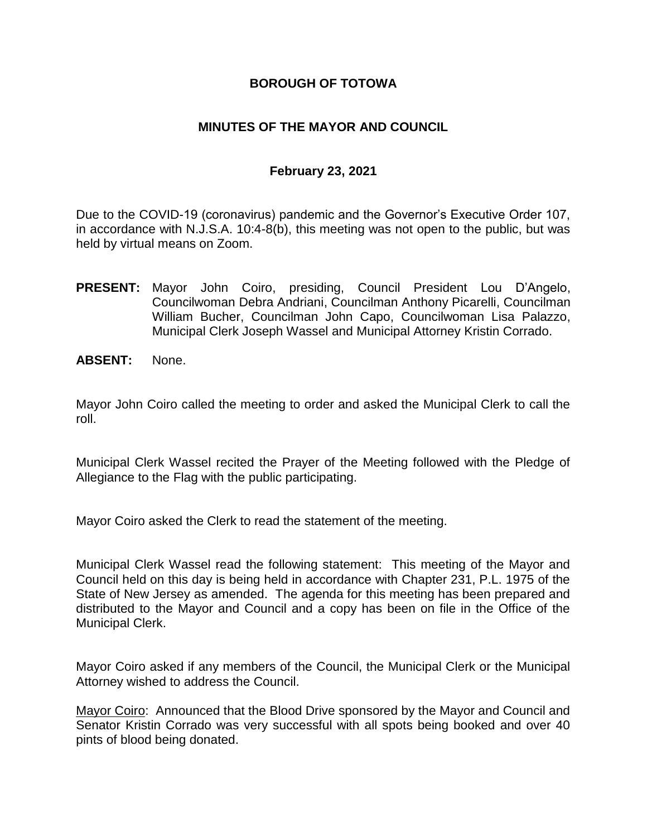### **BOROUGH OF TOTOWA**

### **MINUTES OF THE MAYOR AND COUNCIL**

### **February 23, 2021**

Due to the COVID-19 (coronavirus) pandemic and the Governor's Executive Order 107, in accordance with N.J.S.A. 10:4-8(b), this meeting was not open to the public, but was held by virtual means on Zoom.

- **PRESENT:** Mayor John Coiro, presiding, Council President Lou D'Angelo, Councilwoman Debra Andriani, Councilman Anthony Picarelli, Councilman William Bucher, Councilman John Capo, Councilwoman Lisa Palazzo, Municipal Clerk Joseph Wassel and Municipal Attorney Kristin Corrado.
- **ABSENT:** None.

Mayor John Coiro called the meeting to order and asked the Municipal Clerk to call the roll.

Municipal Clerk Wassel recited the Prayer of the Meeting followed with the Pledge of Allegiance to the Flag with the public participating.

Mayor Coiro asked the Clerk to read the statement of the meeting.

Municipal Clerk Wassel read the following statement: This meeting of the Mayor and Council held on this day is being held in accordance with Chapter 231, P.L. 1975 of the State of New Jersey as amended. The agenda for this meeting has been prepared and distributed to the Mayor and Council and a copy has been on file in the Office of the Municipal Clerk.

Mayor Coiro asked if any members of the Council, the Municipal Clerk or the Municipal Attorney wished to address the Council.

Mayor Coiro: Announced that the Blood Drive sponsored by the Mayor and Council and Senator Kristin Corrado was very successful with all spots being booked and over 40 pints of blood being donated.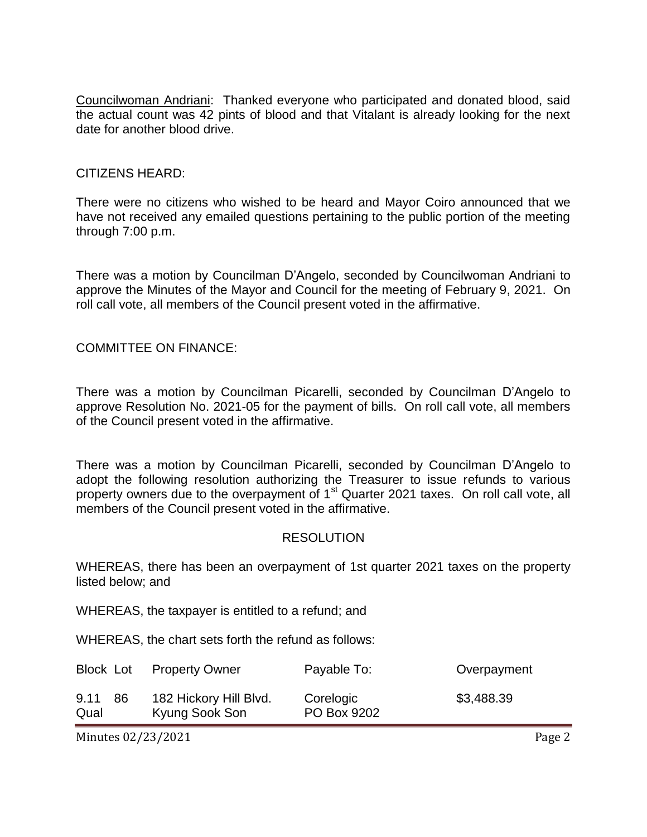Councilwoman Andriani: Thanked everyone who participated and donated blood, said the actual count was 42 pints of blood and that Vitalant is already looking for the next date for another blood drive.

#### CITIZENS HEARD:

There were no citizens who wished to be heard and Mayor Coiro announced that we have not received any emailed questions pertaining to the public portion of the meeting through 7:00 p.m.

There was a motion by Councilman D'Angelo, seconded by Councilwoman Andriani to approve the Minutes of the Mayor and Council for the meeting of February 9, 2021. On roll call vote, all members of the Council present voted in the affirmative.

COMMITTEE ON FINANCE:

There was a motion by Councilman Picarelli, seconded by Councilman D'Angelo to approve Resolution No. 2021-05 for the payment of bills. On roll call vote, all members of the Council present voted in the affirmative.

There was a motion by Councilman Picarelli, seconded by Councilman D'Angelo to adopt the following resolution authorizing the Treasurer to issue refunds to various property owners due to the overpayment of 1<sup>st</sup> Quarter 2021 taxes. On roll call vote, all members of the Council present voted in the affirmative.

#### RESOLUTION

WHEREAS, there has been an overpayment of 1st quarter 2021 taxes on the property listed below; and

WHEREAS, the taxpayer is entitled to a refund; and

WHEREAS, the chart sets forth the refund as follows:

| Block Lot    |     | <b>Property Owner</b>                    | Payable To:              | Overpayment |
|--------------|-----|------------------------------------------|--------------------------|-------------|
| 9.11<br>Qual | -86 | 182 Hickory Hill Blvd.<br>Kyung Sook Son | Corelogic<br>PO Box 9202 | \$3,488.39  |

Minutes 02/23/2021 **Page 2**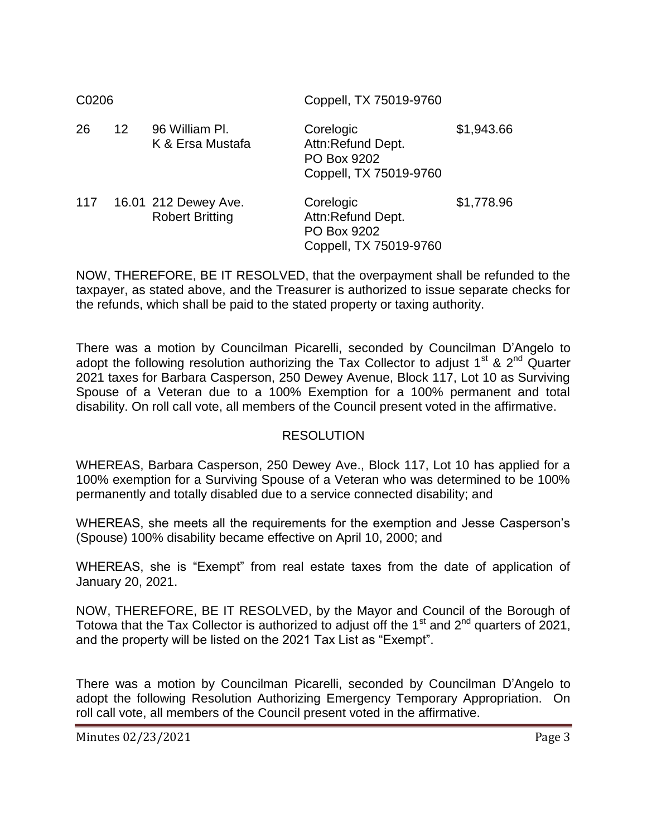| C0206 |                 |                                                | Coppell, TX 75019-9760                                                  |            |  |
|-------|-----------------|------------------------------------------------|-------------------------------------------------------------------------|------------|--|
| 26    | 12 <sup>2</sup> | 96 William Pl.<br>K & Ersa Mustafa             | Corelogic<br>Attn:Refund Dept.<br>PO Box 9202<br>Coppell, TX 75019-9760 | \$1,943.66 |  |
| 117   |                 | 16.01 212 Dewey Ave.<br><b>Robert Britting</b> | Corelogic<br>Attn:Refund Dept.<br>PO Box 9202<br>Coppell, TX 75019-9760 | \$1,778.96 |  |

NOW, THEREFORE, BE IT RESOLVED, that the overpayment shall be refunded to the taxpayer, as stated above, and the Treasurer is authorized to issue separate checks for the refunds, which shall be paid to the stated property or taxing authority.

There was a motion by Councilman Picarelli, seconded by Councilman D'Angelo to adopt the following resolution authorizing the Tax Collector to adjust  $1<sup>st</sup>$  &  $2<sup>nd</sup>$  Quarter 2021 taxes for Barbara Casperson, 250 Dewey Avenue, Block 117, Lot 10 as Surviving Spouse of a Veteran due to a 100% Exemption for a 100% permanent and total disability. On roll call vote, all members of the Council present voted in the affirmative.

# RESOLUTION

WHEREAS, Barbara Casperson, 250 Dewey Ave., Block 117, Lot 10 has applied for a 100% exemption for a Surviving Spouse of a Veteran who was determined to be 100% permanently and totally disabled due to a service connected disability; and

WHEREAS, she meets all the requirements for the exemption and Jesse Casperson's (Spouse) 100% disability became effective on April 10, 2000; and

WHEREAS, she is "Exempt" from real estate taxes from the date of application of January 20, 2021.

NOW, THEREFORE, BE IT RESOLVED, by the Mayor and Council of the Borough of Totowa that the Tax Collector is authorized to adjust off the 1<sup>st</sup> and  $2^{nd}$  quarters of 2021, and the property will be listed on the 2021 Tax List as "Exempt".

There was a motion by Councilman Picarelli, seconded by Councilman D'Angelo to adopt the following Resolution Authorizing Emergency Temporary Appropriation. On roll call vote, all members of the Council present voted in the affirmative.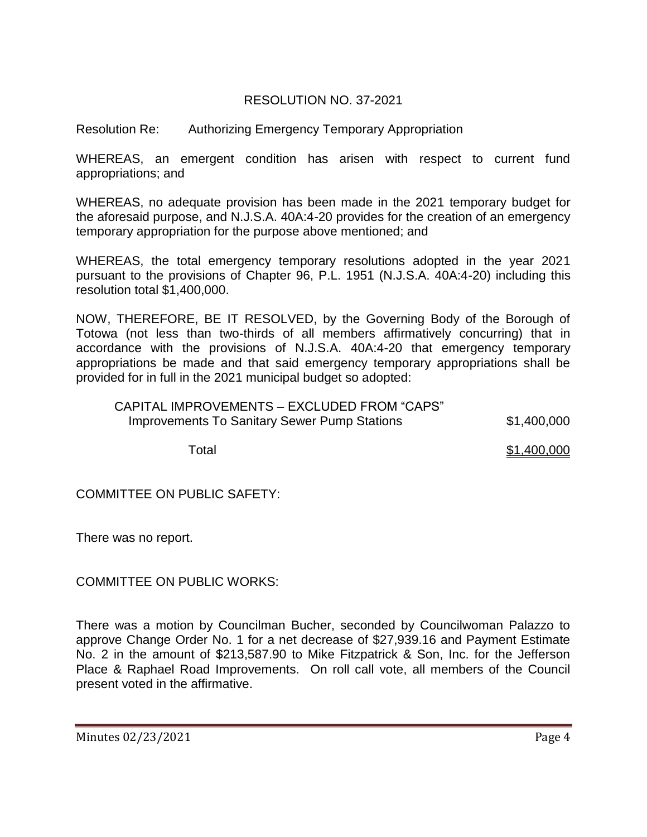# RESOLUTION NO. 37-2021

Resolution Re: Authorizing Emergency Temporary Appropriation

WHEREAS, an emergent condition has arisen with respect to current fund appropriations; and

WHEREAS, no adequate provision has been made in the 2021 temporary budget for the aforesaid purpose, and N.J.S.A. 40A:4-20 provides for the creation of an emergency temporary appropriation for the purpose above mentioned; and

WHEREAS, the total emergency temporary resolutions adopted in the year 2021 pursuant to the provisions of Chapter 96, P.L. 1951 (N.J.S.A. 40A:4-20) including this resolution total \$1,400,000.

NOW, THEREFORE, BE IT RESOLVED, by the Governing Body of the Borough of Totowa (not less than two-thirds of all members affirmatively concurring) that in accordance with the provisions of N.J.S.A. 40A:4-20 that emergency temporary appropriations be made and that said emergency temporary appropriations shall be provided for in full in the 2021 municipal budget so adopted:

| CAPITAL IMPROVEMENTS - EXCLUDED FROM "CAPS"         |             |
|-----------------------------------------------------|-------------|
| <b>Improvements To Sanitary Sewer Pump Stations</b> | \$1,400,000 |

Total \$1,400,000

COMMITTEE ON PUBLIC SAFETY:

There was no report.

COMMITTEE ON PUBLIC WORKS:

There was a motion by Councilman Bucher, seconded by Councilwoman Palazzo to approve Change Order No. 1 for a net decrease of \$27,939.16 and Payment Estimate No. 2 in the amount of \$213,587.90 to Mike Fitzpatrick & Son, Inc. for the Jefferson Place & Raphael Road Improvements. On roll call vote, all members of the Council present voted in the affirmative.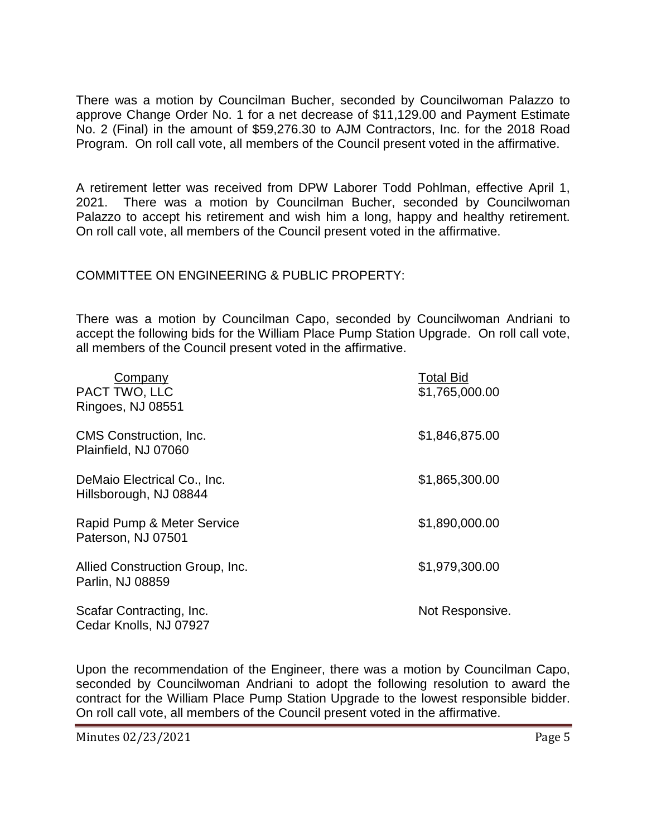There was a motion by Councilman Bucher, seconded by Councilwoman Palazzo to approve Change Order No. 1 for a net decrease of \$11,129.00 and Payment Estimate No. 2 (Final) in the amount of \$59,276.30 to AJM Contractors, Inc. for the 2018 Road Program. On roll call vote, all members of the Council present voted in the affirmative.

A retirement letter was received from DPW Laborer Todd Pohlman, effective April 1, 2021. There was a motion by Councilman Bucher, seconded by Councilwoman Palazzo to accept his retirement and wish him a long, happy and healthy retirement. On roll call vote, all members of the Council present voted in the affirmative.

### COMMITTEE ON ENGINEERING & PUBLIC PROPERTY:

There was a motion by Councilman Capo, seconded by Councilwoman Andriani to accept the following bids for the William Place Pump Station Upgrade. On roll call vote, all members of the Council present voted in the affirmative.

| Company<br>PACT TWO, LLC<br>Ringoes, NJ 08551         | <b>Total Bid</b><br>\$1,765,000.00 |
|-------------------------------------------------------|------------------------------------|
| <b>CMS</b> Construction, Inc.<br>Plainfield, NJ 07060 | \$1,846,875.00                     |
| DeMaio Electrical Co., Inc.<br>Hillsborough, NJ 08844 | \$1,865,300.00                     |
| Rapid Pump & Meter Service<br>Paterson, NJ 07501      | \$1,890,000.00                     |
| Allied Construction Group, Inc.<br>Parlin, NJ 08859   | \$1,979,300.00                     |
| Scafar Contracting, Inc.<br>Cedar Knolls, NJ 07927    | Not Responsive.                    |

Upon the recommendation of the Engineer, there was a motion by Councilman Capo, seconded by Councilwoman Andriani to adopt the following resolution to award the contract for the William Place Pump Station Upgrade to the lowest responsible bidder. On roll call vote, all members of the Council present voted in the affirmative.

Minutes 02/23/2021 **Page 5**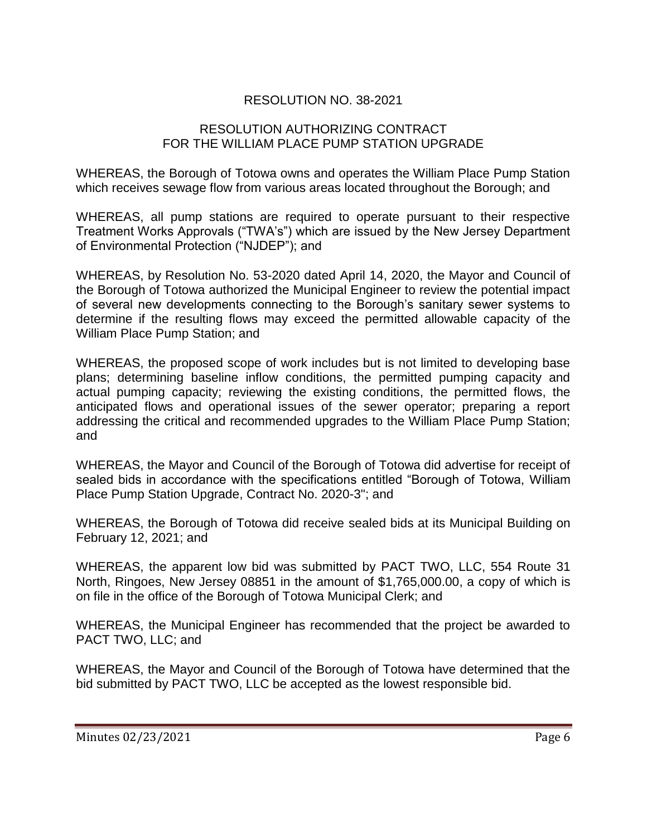# RESOLUTION NO. 38-2021

### RESOLUTION AUTHORIZING CONTRACT FOR THE WILLIAM PLACE PUMP STATION UPGRADE

WHEREAS, the Borough of Totowa owns and operates the William Place Pump Station which receives sewage flow from various areas located throughout the Borough; and

WHEREAS, all pump stations are required to operate pursuant to their respective Treatment Works Approvals ("TWA's") which are issued by the New Jersey Department of Environmental Protection ("NJDEP"); and

WHEREAS, by Resolution No. 53-2020 dated April 14, 2020, the Mayor and Council of the Borough of Totowa authorized the Municipal Engineer to review the potential impact of several new developments connecting to the Borough's sanitary sewer systems to determine if the resulting flows may exceed the permitted allowable capacity of the William Place Pump Station; and

WHEREAS, the proposed scope of work includes but is not limited to developing base plans; determining baseline inflow conditions, the permitted pumping capacity and actual pumping capacity; reviewing the existing conditions, the permitted flows, the anticipated flows and operational issues of the sewer operator; preparing a report addressing the critical and recommended upgrades to the William Place Pump Station; and

WHEREAS, the Mayor and Council of the Borough of Totowa did advertise for receipt of sealed bids in accordance with the specifications entitled "Borough of Totowa, William Place Pump Station Upgrade, Contract No. 2020-3"; and

WHEREAS, the Borough of Totowa did receive sealed bids at its Municipal Building on February 12, 2021; and

WHEREAS, the apparent low bid was submitted by PACT TWO, LLC, 554 Route 31 North, Ringoes, New Jersey 08851 in the amount of \$1,765,000.00, a copy of which is on file in the office of the Borough of Totowa Municipal Clerk; and

WHEREAS, the Municipal Engineer has recommended that the project be awarded to PACT TWO, LLC; and

WHEREAS, the Mayor and Council of the Borough of Totowa have determined that the bid submitted by PACT TWO, LLC be accepted as the lowest responsible bid.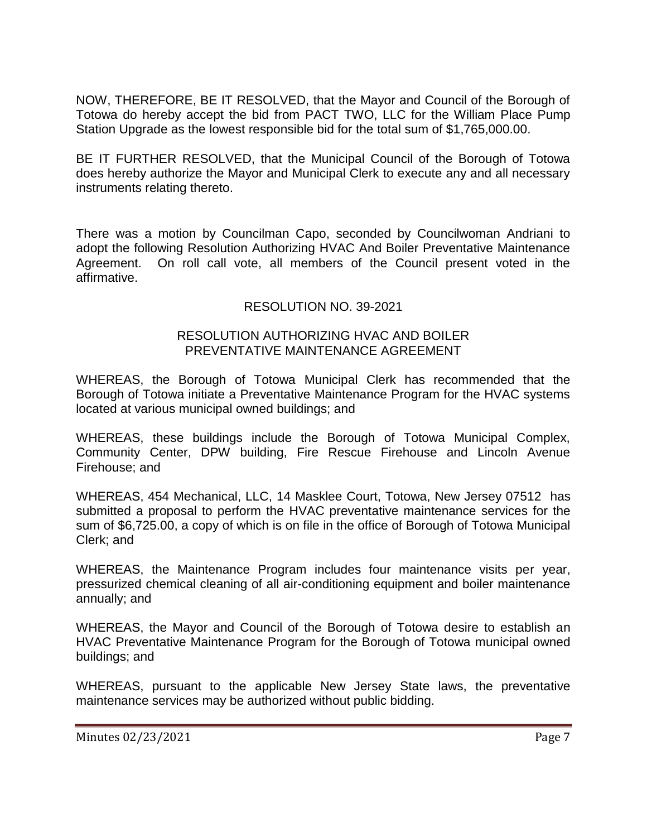NOW, THEREFORE, BE IT RESOLVED, that the Mayor and Council of the Borough of Totowa do hereby accept the bid from PACT TWO, LLC for the William Place Pump Station Upgrade as the lowest responsible bid for the total sum of \$1,765,000.00.

BE IT FURTHER RESOLVED, that the Municipal Council of the Borough of Totowa does hereby authorize the Mayor and Municipal Clerk to execute any and all necessary instruments relating thereto.

There was a motion by Councilman Capo, seconded by Councilwoman Andriani to adopt the following Resolution Authorizing HVAC And Boiler Preventative Maintenance Agreement. On roll call vote, all members of the Council present voted in the affirmative.

# RESOLUTION NO. 39-2021

#### RESOLUTION AUTHORIZING HVAC AND BOILER PREVENTATIVE MAINTENANCE AGREEMENT

WHEREAS, the Borough of Totowa Municipal Clerk has recommended that the Borough of Totowa initiate a Preventative Maintenance Program for the HVAC systems located at various municipal owned buildings; and

WHEREAS, these buildings include the Borough of Totowa Municipal Complex, Community Center, DPW building, Fire Rescue Firehouse and Lincoln Avenue Firehouse; and

WHEREAS, 454 Mechanical, LLC, 14 Masklee Court, Totowa, New Jersey 07512 has submitted a proposal to perform the HVAC preventative maintenance services for the sum of \$6,725.00, a copy of which is on file in the office of Borough of Totowa Municipal Clerk; and

WHEREAS, the Maintenance Program includes four maintenance visits per year, pressurized chemical cleaning of all air-conditioning equipment and boiler maintenance annually; and

WHEREAS, the Mayor and Council of the Borough of Totowa desire to establish an HVAC Preventative Maintenance Program for the Borough of Totowa municipal owned buildings; and

WHEREAS, pursuant to the applicable New Jersey State laws, the preventative maintenance services may be authorized without public bidding.